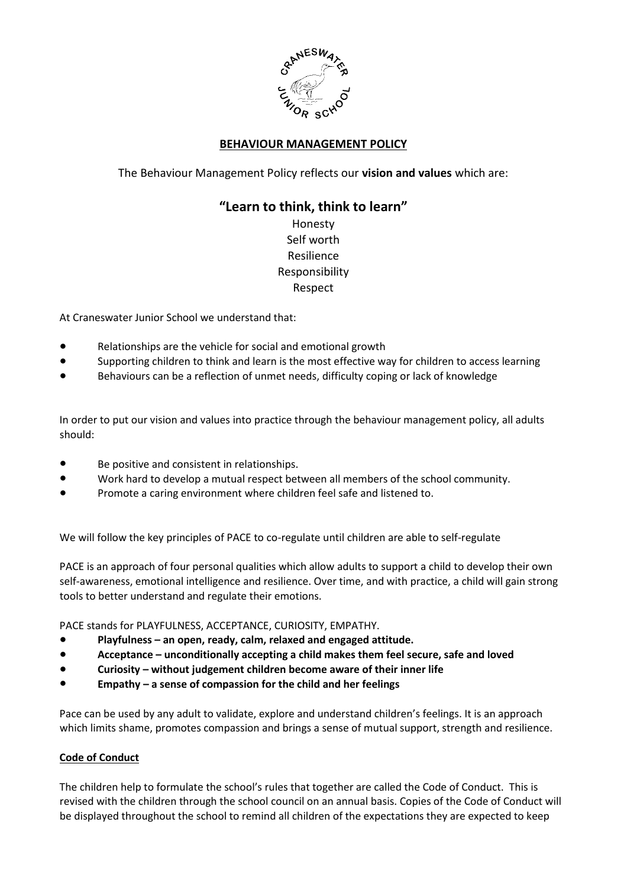

## **BEHAVIOUR MANAGEMENT POLICY**

The Behaviour Management Policy reflects our **vision and values** which are:

# **"Learn to think, think to learn"**

Honesty Self worth Resilience Responsibility Respect

At Craneswater Junior School we understand that:

- Relationships are the vehicle for social and emotional growth
- Supporting children to think and learn is the most effective way for children to access learning
- Behaviours can be a reflection of unmet needs, difficulty coping or lack of knowledge

In order to put our vision and values into practice through the behaviour management policy, all adults should:

- Be positive and consistent in relationships.
- Work hard to develop a mutual respect between all members of the school community.
- Promote a caring environment where children feel safe and listened to.

We will follow the key principles of PACE to co-regulate until children are able to self-regulate

PACE is an approach of four personal qualities which allow adults to support a child to develop their own self-awareness, emotional intelligence and resilience. Over time, and with practice, a child will gain strong tools to better understand and regulate their emotions.

PACE stands for PLAYFULNESS, ACCEPTANCE, CURIOSITY, EMPATHY.

- **Playfulness – an open, ready, calm, relaxed and engaged attitude.**
- **Acceptance – unconditionally accepting a child makes them feel secure, safe and loved**
- **Curiosity – without judgement children become aware of their inner life**
- **Empathy – a sense of compassion for the child and her feelings**

Pace can be used by any adult to validate, explore and understand children's feelings. It is an approach which limits shame, promotes compassion and brings a sense of mutual support, strength and resilience.

## **Code of Conduct**

The children help to formulate the school's rules that together are called the Code of Conduct. This is revised with the children through the school council on an annual basis. Copies of the Code of Conduct will be displayed throughout the school to remind all children of the expectations they are expected to keep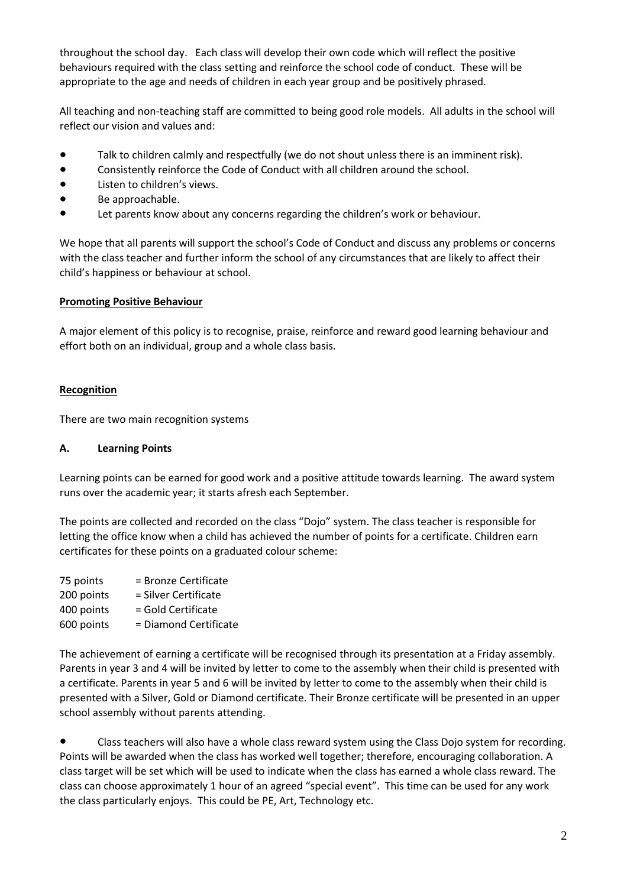throughout the school day. Each class will develop their own code which will reflect the positive behaviours required with the class setting and reinforce the school code of conduct. These will be appropriate to the age and needs of children in each year group and be positively phrased.

All teaching and non-teaching staff are committed to being good role models. All adults in the school will reflect our vision and values and:

- Talk to children calmly and respectfully (we do not shout unless there is an imminent risk).
- Consistently reinforce the Code of Conduct with all children around the school.
- Listen to children's views.
- Be approachable.
- Let parents know about any concerns regarding the children's work or behaviour.

We hope that all parents will support the school's Code of Conduct and discuss any problems or concerns with the class teacher and further inform the school of any circumstances that are likely to affect their child's happiness or behaviour at school.

## **Promoting Positive Behaviour**

A major element of this policy is to recognise, praise, reinforce and reward good learning behaviour and effort both on an individual, group and a whole class basis.

## **Recognition**

There are two main recognition systems

#### **A. Learning Points**

Learning points can be earned for good work and a positive attitude towards learning. The award system runs over the academic year; it starts afresh each September.

The points are collected and recorded on the class "Dojo" system. The class teacher is responsible for letting the office know when a child has achieved the number of points for a certificate. Children earn certificates for these points on a graduated colour scheme:

| 75 points  | = Bronze Certificate  |
|------------|-----------------------|
| 200 points | = Silver Certificate  |
| 400 points | = Gold Certificate    |
| 600 points | = Diamond Certificate |

The achievement of earning a certificate will be recognised through its presentation at a Friday assembly. Parents in year 3 and 4 will be invited by letter to come to the assembly when their child is presented with a certificate. Parents in year 5 and 6 will be invited by letter to come to the assembly when their child is presented with a Silver, Gold or Diamond certificate. Their Bronze certificate will be presented in an upper school assembly without parents attending.

● Class teachers will also have a whole class reward system using the Class Dojo system for recording. Points will be awarded when the class has worked well together; therefore, encouraging collaboration. A class target will be set which will be used to indicate when the class has earned a whole class reward. The class can choose approximately 1 hour of an agreed "special event". This time can be used for any work the class particularly enjoys. This could be PE, Art, Technology etc.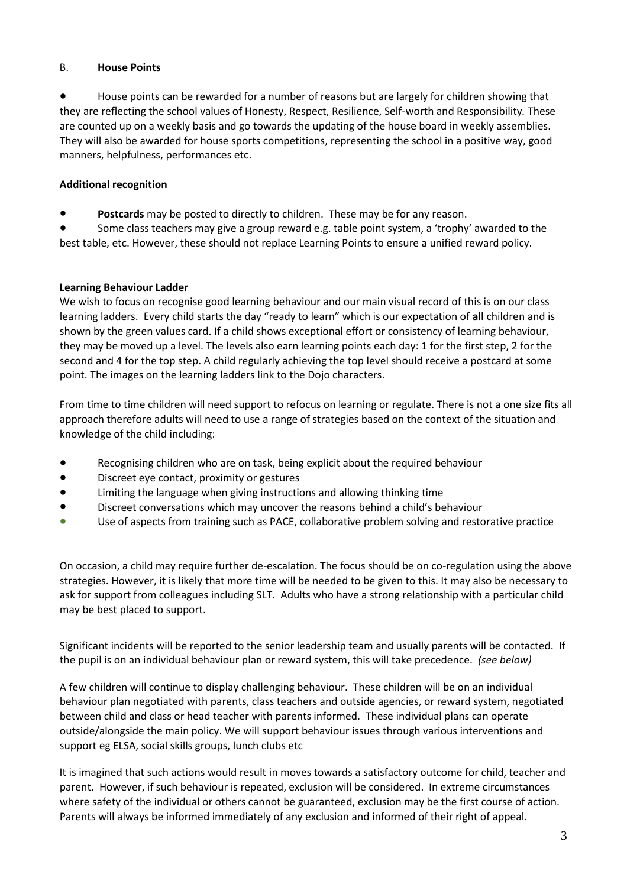## B. **House Points**

House points can be rewarded for a number of reasons but are largely for children showing that they are reflecting the school values of Honesty, Respect, Resilience, Self-worth and Responsibility*.* These are counted up on a weekly basis and go towards the updating of the house board in weekly assemblies. They will also be awarded for house sports competitions, representing the school in a positive way, good manners, helpfulness, performances etc.

## **Additional recognition**

Postcards may be posted to directly to children. These may be for any reason.

Some class teachers may give a group reward e.g. table point system, a 'trophy' awarded to the best table, etc. However, these should not replace Learning Points to ensure a unified reward policy.

## **Learning Behaviour Ladder**

We wish to focus on recognise good learning behaviour and our main visual record of this is on our class learning ladders. Every child starts the day "ready to learn" which is our expectation of **all** children and is shown by the green values card. If a child shows exceptional effort or consistency of learning behaviour, they may be moved up a level. The levels also earn learning points each day: 1 for the first step, 2 for the second and 4 for the top step. A child regularly achieving the top level should receive a postcard at some point. The images on the learning ladders link to the Dojo characters.

From time to time children will need support to refocus on learning or regulate. There is not a one size fits all approach therefore adults will need to use a range of strategies based on the context of the situation and knowledge of the child including:

- Recognising children who are on task, being explicit about the required behaviour
- Discreet eye contact, proximity or gestures
- Limiting the language when giving instructions and allowing thinking time
- Discreet conversations which may uncover the reasons behind a child's behaviour
- Use of aspects from training such as PACE, collaborative problem solving and restorative practice

On occasion, a child may require further de-escalation. The focus should be on co-regulation using the above strategies. However, it is likely that more time will be needed to be given to this. It may also be necessary to ask for support from colleagues including SLT. Adults who have a strong relationship with a particular child may be best placed to support.

Significant incidents will be reported to the senior leadership team and usually parents will be contacted. If the pupil is on an individual behaviour plan or reward system, this will take precedence. *(see below)*

A few children will continue to display challenging behaviour. These children will be on an individual behaviour plan negotiated with parents, class teachers and outside agencies, or reward system, negotiated between child and class or head teacher with parents informed. These individual plans can operate outside/alongside the main policy. We will support behaviour issues through various interventions and support eg ELSA, social skills groups, lunch clubs etc

It is imagined that such actions would result in moves towards a satisfactory outcome for child, teacher and parent. However, if such behaviour is repeated, exclusion will be considered. In extreme circumstances where safety of the individual or others cannot be guaranteed, exclusion may be the first course of action. Parents will always be informed immediately of any exclusion and informed of their right of appeal.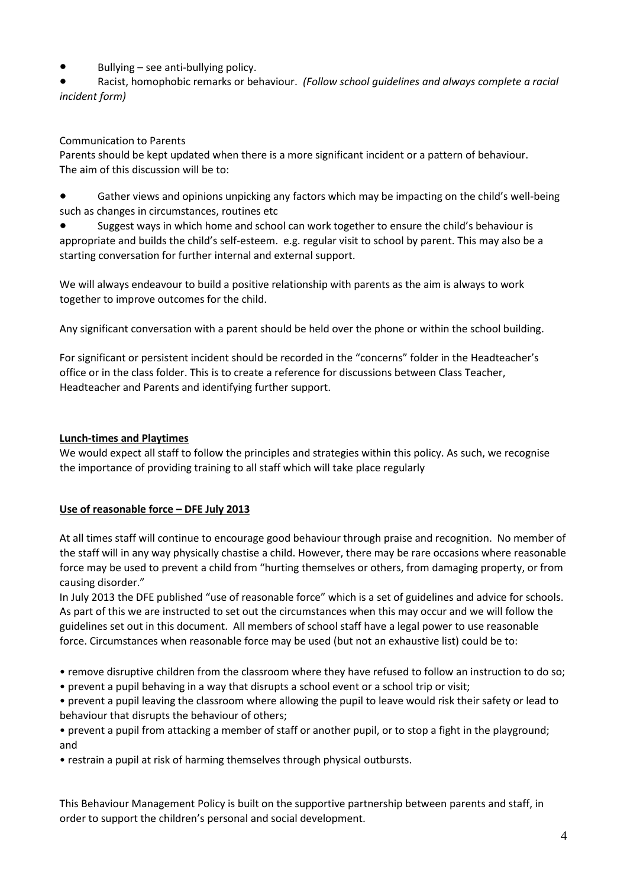Bullying  $-$  see anti-bullying policy.

Racist, homophobic remarks or behaviour. *(Follow school guidelines and always complete a racial incident form)*

## Communication to Parents

Parents should be kept updated when there is a more significant incident or a pattern of behaviour. The aim of this discussion will be to:

● Gather views and opinions unpicking any factors which may be impacting on the child's well-being such as changes in circumstances, routines etc

Suggest ways in which home and school can work together to ensure the child's behaviour is appropriate and builds the child's self-esteem. e.g. regular visit to school by parent. This may also be a starting conversation for further internal and external support.

We will always endeavour to build a positive relationship with parents as the aim is always to work together to improve outcomes for the child.

Any significant conversation with a parent should be held over the phone or within the school building.

For significant or persistent incident should be recorded in the "concerns" folder in the Headteacher's office or in the class folder. This is to create a reference for discussions between Class Teacher, Headteacher and Parents and identifying further support.

## **Lunch-times and Playtimes**

We would expect all staff to follow the principles and strategies within this policy. As such, we recognise the importance of providing training to all staff which will take place regularly

## **Use of reasonable force – DFE July 2013**

At all times staff will continue to encourage good behaviour through praise and recognition. No member of the staff will in any way physically chastise a child. However, there may be rare occasions where reasonable force may be used to prevent a child from "hurting themselves or others, from damaging property, or from causing disorder."

In July 2013 the DFE published "use of reasonable force" which is a set of guidelines and advice for schools. As part of this we are instructed to set out the circumstances when this may occur and we will follow the guidelines set out in this document. All members of school staff have a legal power to use reasonable force. Circumstances when reasonable force may be used (but not an exhaustive list) could be to:

- remove disruptive children from the classroom where they have refused to follow an instruction to do so;
- prevent a pupil behaving in a way that disrupts a school event or a school trip or visit;
- prevent a pupil leaving the classroom where allowing the pupil to leave would risk their safety or lead to behaviour that disrupts the behaviour of others;

• prevent a pupil from attacking a member of staff or another pupil, or to stop a fight in the playground; and

• restrain a pupil at risk of harming themselves through physical outbursts.

This Behaviour Management Policy is built on the supportive partnership between parents and staff, in order to support the children's personal and social development.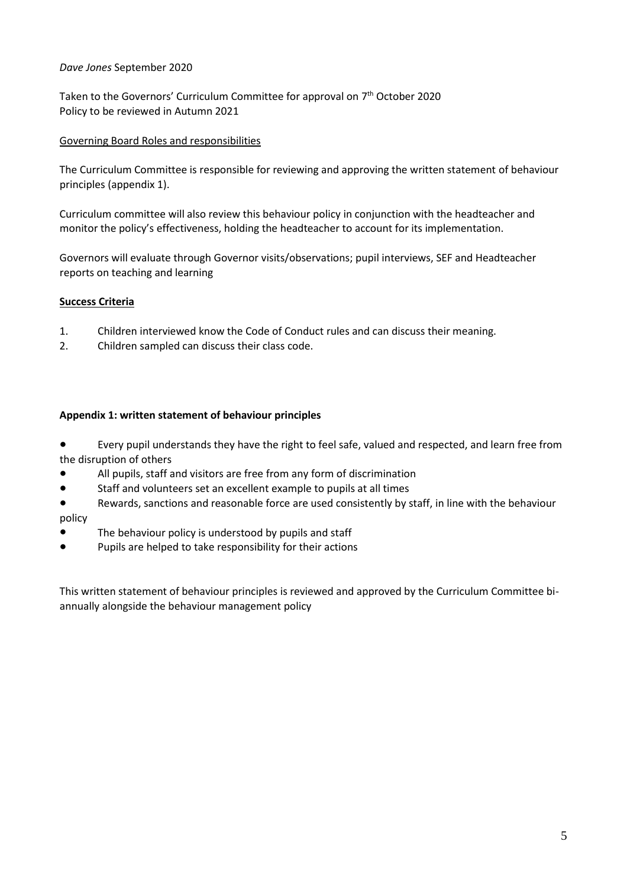## *Dave Jones* September 2020

Taken to the Governors' Curriculum Committee for approval on 7 th October 2020 Policy to be reviewed in Autumn 2021

## Governing Board Roles and responsibilities

The Curriculum Committee is responsible for reviewing and approving the written statement of behaviour principles (appendix 1).

Curriculum committee will also review this behaviour policy in conjunction with the headteacher and monitor the policy's effectiveness, holding the headteacher to account for its implementation.

Governors will evaluate through Governor visits/observations; pupil interviews, SEF and Headteacher reports on teaching and learning

#### **Success Criteria**

- 1. Children interviewed know the Code of Conduct rules and can discuss their meaning.
- 2. Children sampled can discuss their class code.

#### **Appendix 1: written statement of behaviour principles**

Every pupil understands they have the right to feel safe, valued and respected, and learn free from the disruption of others

- All pupils, staff and visitors are free from any form of discrimination
- Staff and volunteers set an excellent example to pupils at all times
- Rewards, sanctions and reasonable force are used consistently by staff, in line with the behaviour policy
- The behaviour policy is understood by pupils and staff
- Pupils are helped to take responsibility for their actions

This written statement of behaviour principles is reviewed and approved by the Curriculum Committee biannually alongside the behaviour management policy